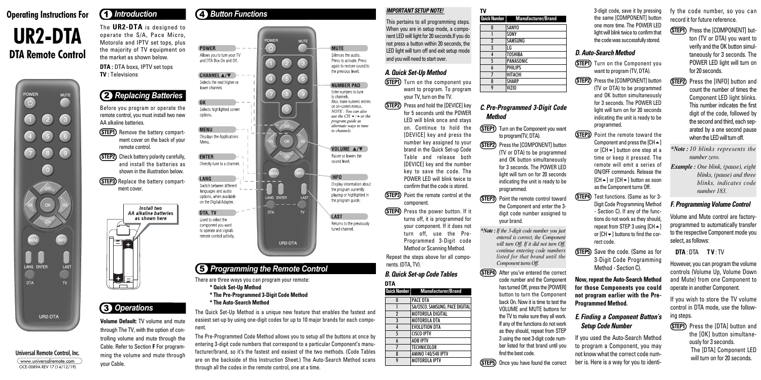#### **IMPORTANT SETUP NOTE!**

This pertains to all programming steps. When you are in setup mode, a component LED will light for 20 seconds.If you do not press a button within 20 seconds, the LED light will turn off and exit setup mode and you will need to start over.

**STEP1)** Turn on the component you want to program. To program your TV, turn on the TV.

### **A. Quick Set-Up Method**

**(STEP2)** Press and hold the [DEVICE] key for 5 seconds until the POWER LED will blink once and stays on. Continue to hold the [DEVICE] key and press the number key assigned to your brand in the Quick Set-up Code Table and release both [DEVICE] key and the number key to save the code. The POWER LED will blink twice to confirm that the code is stored.

**STEP3** Point the remote control at the component.

**(STEP4)** Press the power button. If it turns off, it is programmed for your component. If it does not turn off, use the Pre-Programmed 3-Digit code Method or Scanning Method.

**(STEP1)** Turn on the Component you want to program(TV, DTA).

**(STEP2)** Press the [COMPONENT] button (TV or DTA) to be programmed and OK button simultaneously

Repeat the steps above for all components. (DTA, TV).

#### **C. Pre-Programmed 3-Digit Code Method**

- **(STEP1)** Press the **[COMPONENT]** button (TV or DTA) you want to verify and the OK button simultaneously for 3 seconds. The POWER LED light will turn on for 20 seconds.
- **(STEP2)** Press the [INFO] button and count the number of times the Component LED light blinks. This number indicates the first digit of the code, followed by the second and third, each separated by a one second pause when the LED will turn off.
- *\*Note : 10 blinks represents the number zero.*
- *Example : One blink, (pause), eight blinks, (pause) and three blinks, indicates code number 183.*

**(STEP1)** Press the [DTA] button and the [OK] button simultaneously for 3 seconds. The [DTA] Component LED will turn on for 20 seconds.

- for 3 seconds. The POWER LED light will turn on for 20 seconds indicating the unit is ready to be programmed.
- **(STEP3)** Point the remote control toward the Component and enter the 3 digit code number assigned to your brand.
- *\*Note : If the 3-digit code number you just entered is correct, the Component will turn Off. If it did not turn Off, continue entering code numbers listed for that brand until the Component turns Off.*
- **(STEP4)** After you've entered the correct code number and the Component has turned Off, press the [POWER] button to turn the Component back On. Now it is time to test the VOLUME and MUTE buttons for the TV to make sure they all work. If any of the functions do not work as they should, repeat from STEP 3 using the next 3-digit code number listed for that brand until you find the best code.

**(STEP5)** Once you have found the correct

- **STEP1**) Turn on the Component you want to program (TV, DTA).
- **(STEP2)** Press the [COMPONENT] button (TV or DTA) to be programmed and OK button simultaneously for 3 seconds. The POWER LED light will turn on for 20 seconds indicating the unit is ready to be programmed.
- **STEP3** Point the remote toward the Component and press the  $[CH-]$ or  $[CH \rightarrow]$  button one step at a time or keep it pressed. The remote will emit a series of ON/OFF commands. Release the  $[CH \rightarrow]$  or  $[CH \rightarrow]$  button as soon as the Component turns Off.
- **STEP4** Test functions. (Same as for 3-Digit Code Programming Method - Section C). If any of the functions do not work as they should, repeat from STEP 3 using  $[CH \triangle]$ or  $ICH\blacktriangleright$  buttons to find the correct code.
- **STEP5** Save the code. (Same as for 3-Digit Code Programming Method - Section C).

fy the code number, so you can record it for future reference.

# **Operating Instructions For UR2-DTA DTA** Remote Control

### **F. Programming Volume Control**

Volume and Mute control are factoryprogrammed to automatically transfer to the respective Component mode you select, as follows:

#### **DTA** : DTA **T V** : TV

However, you can program the volume controls (Volume Up, Volume Down and Mute) from one Component to operate in another Component.

**(STEP1)** Remove the battery compartment cover on the back of your remote control.

> If you wish to store the TV volume control in DTA mode, use the following steps.

**(STEP2)** Check battery polarity carefully, and install the batteries as shown in the illustration below.

**(STEP3)** Replace the battery compartment cover.



3-digit code, save it by pressing the same [COMPONENT] button one more time. The POWER LED light will blink twice to confirm that the code was successfully stored.

## **D. Auto-Search Method**

#### **B. Quick Set-up Code Tables DTA**

**Now, repeat the Auto-Search Method for those Components you could not program earlier with the Pre-Programmed Method.**

### **E. Finding a Component Button's Setup Code Number**

If you used the Auto-Search Method to program a Component, you may not know what the correct code number is. Here is a way for you to identi-

## 4 *Button Functions*



The Quick Set-Up Method is a unique new feature that enables the fastest and easiest set-up by using one-digit codes for up to 10 major brands for each component.

The Pre-Programmed Code Method allows you to setup all the buttons at once by entering 3-digit code numbers that correspond to a particular Component's manufacturer/brand, so it's the fastest and easiest of the two methods. (Code Tables are on the backside of this Instruction Sheet.) The Auto-Search Method scans through all the codes in the remote control, one at a time.

#### **Universal Remote Control, Inc.**

www.universalremote.com OCE-0089A REV 17 (14/12/19)



The **UR2-DTA** is designed to operate the S/A, Pace Micro, Motorola and IPTV set tops, plus the majority of TV equipment on the market as shown below.

**DTA :** DTA boxs, IPTV set tops **TV :** Televisions

## 1 *Introduction*

**Volume Default:** TV volume and mute through The TV, with the option of controlling volume and mute through the Cable. Refer to Section **F** For programming the volume and mute through your Cable.

## 3 *Operations*

## 2 *Replacing Batteries*

Before you program or operate the remote control, you must install two new AA alkaline batteries.

|              | Quick Number   Manufacturer/Brand |
|--------------|-----------------------------------|
| N            | <b>SANYO</b>                      |
|              | SONY                              |
| $\mathbf{2}$ | SAMSUNG                           |
| 3            | LG                                |
| 4            | <b>TOSHIBA</b>                    |
| 5            | PANASONIC                         |
| 6            | <b>PHILIPS</b>                    |
| 7            | HITACHI                           |
| 8            | <b>SHARP</b>                      |
|              | VIZIO                             |

| Quick Number | <b>Manufacturer/Brand</b>   |
|--------------|-----------------------------|
|              | PACE DTA                    |
|              | CA/CICCO CAMCUNO DACE DICIT |

| u            | <b>FALE UIA</b>                 |
|--------------|---------------------------------|
|              | SA/CISCO, SAMSUNG, PACE DIGITAL |
| $\mathbf{2}$ | <b>MOTOROLA DIGITAL</b>         |
| 3            | <b>MOTOROLA DTA</b>             |
| 4            | <b>EVOLUTION DTA</b>            |
| 5            | <b>CISCO IPTV</b>               |
| 6            | <b>ADB IPTV</b>                 |
| 7            | <b>TECHNICOLOR</b>              |
| 8            | AMINO 140/540 IPTV              |
| 9            | <b>MOTOROLA IPTV</b>            |
|              |                                 |